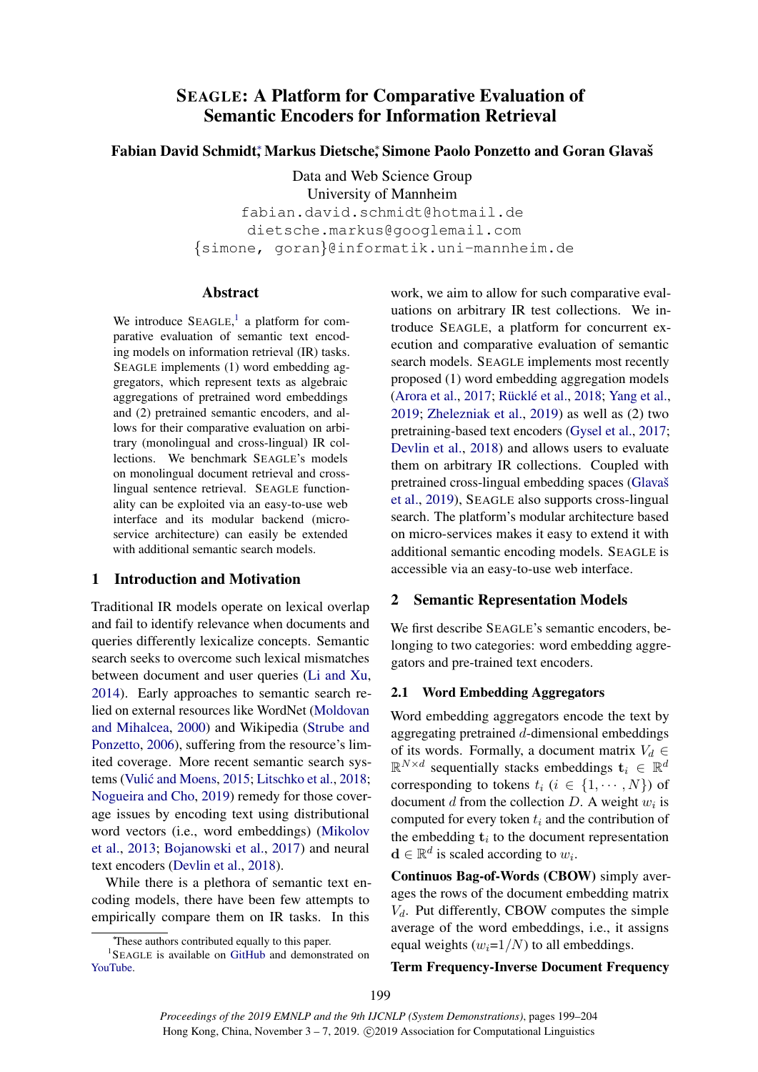# SEAGLE: A Platform for Comparative Evaluation of Semantic Encoders for Information Retrieval

## Fabian David Schmidt, Markus Dietsche, Simone Paolo Ponzetto and Goran Glavas

Data and Web Science Group University of Mannheim

fabian.david.schmidt@hotmail.de dietsche.markus@googlemail.com {simone, goran}@informatik.uni-mannheim.de

### Abstract

We introduce  $SEAGLE$ , a platform for comparative evaluation of semantic text encoding models on information retrieval (IR) tasks. SEAGLE implements (1) word embedding aggregators, which represent texts as algebraic aggregations of pretrained word embeddings and (2) pretrained semantic encoders, and allows for their comparative evaluation on arbitrary (monolingual and cross-lingual) IR collections. We benchmark SEAGLE's models on monolingual document retrieval and crosslingual sentence retrieval. SEAGLE functionality can be exploited via an easy-to-use web interface and its modular backend (microservice architecture) can easily be extended with additional semantic search models.

## 1 Introduction and Motivation

Traditional IR models operate on lexical overlap and fail to identify relevance when documents and queries differently lexicalize concepts. Semantic search seeks to overcome such lexical mismatches between document and user queries [\(Li and Xu,](#page-5-0) [2014\)](#page-5-0). Early approaches to semantic search relied on external resources like WordNet [\(Moldovan](#page-5-1) [and Mihalcea,](#page-5-1) [2000\)](#page-5-1) and Wikipedia [\(Strube and](#page-5-2) [Ponzetto,](#page-5-2) [2006\)](#page-5-2), suffering from the resource's limited coverage. More recent semantic search sys-tems (Vulić and Moens, [2015;](#page-5-3) [Litschko et al.,](#page-5-4) [2018;](#page-5-4) [Nogueira and Cho,](#page-5-5) [2019\)](#page-5-5) remedy for those coverage issues by encoding text using distributional word vectors (i.e., word embeddings) [\(Mikolov](#page-5-6) [et al.,](#page-5-6) [2013;](#page-5-6) [Bojanowski et al.,](#page-5-7) [2017\)](#page-5-7) and neural text encoders [\(Devlin et al.,](#page-5-8) [2018\)](#page-5-8).

While there is a plethora of semantic text encoding models, there have been few attempts to empirically compare them on IR tasks. In this

work, we aim to allow for such comparative evaluations on arbitrary IR test collections. We introduce SEAGLE, a platform for concurrent execution and comparative evaluation of semantic search models. SEAGLE implements most recently proposed (1) word embedding aggregation models [\(Arora et al.,](#page-5-9) [2017;](#page-5-9) Rücklé et al., [2018;](#page-5-10) [Yang et al.,](#page-5-11) [2019;](#page-5-11) [Zhelezniak et al.,](#page-5-12) [2019\)](#page-5-12) as well as (2) two pretraining-based text encoders [\(Gysel et al.,](#page-5-13) [2017;](#page-5-13) [Devlin et al.,](#page-5-8) [2018\)](#page-5-8) and allows users to evaluate them on arbitrary IR collections. Coupled with pretrained cross-lingual embedding spaces (Glavaš [et al.,](#page-5-14) [2019\)](#page-5-14), SEAGLE also supports cross-lingual search. The platform's modular architecture based on micro-services makes it easy to extend it with additional semantic encoding models. SEAGLE is accessible via an easy-to-use web interface.

## 2 Semantic Representation Models

We first describe SEAGLE's semantic encoders, belonging to two categories: word embedding aggregators and pre-trained text encoders.

#### <span id="page-0-1"></span>2.1 Word Embedding Aggregators

Word embedding aggregators encode the text by aggregating pretrained d-dimensional embeddings of its words. Formally, a document matrix  $V_d \in$  $\mathbb{R}^{N \times d}$  sequentially stacks embeddings  $\mathbf{t}_i \in \mathbb{R}^d$ corresponding to tokens  $t_i$  ( $i \in \{1, \dots, N\}$ ) of document  $d$  from the collection  $D$ . A weight  $w_i$  is computed for every token  $t_i$  and the contribution of the embedding  $t_i$  to the document representation  $\mathbf{d} \in \mathbb{R}^d$  is scaled according to  $w_i$ .

Continuos Bag-of-Words (CBOW) simply averages the rows of the document embedding matrix  $V_d$ . Put differently, CBOW computes the simple average of the word embeddings, i.e., it assigns equal weights  $(w_i=1/N)$  to all embeddings.

#### Term Frequency-Inverse Document Frequency

<span id="page-0-0"></span><sup>∗</sup>These authors contributed equally to this paper.

<sup>&</sup>lt;sup>1</sup>SEAGLE is available on [GitHub](http://bit.ly/SeagleEMNLP) and demonstrated on [YouTube.](https://youtu.be/8ncTgRqr8w4)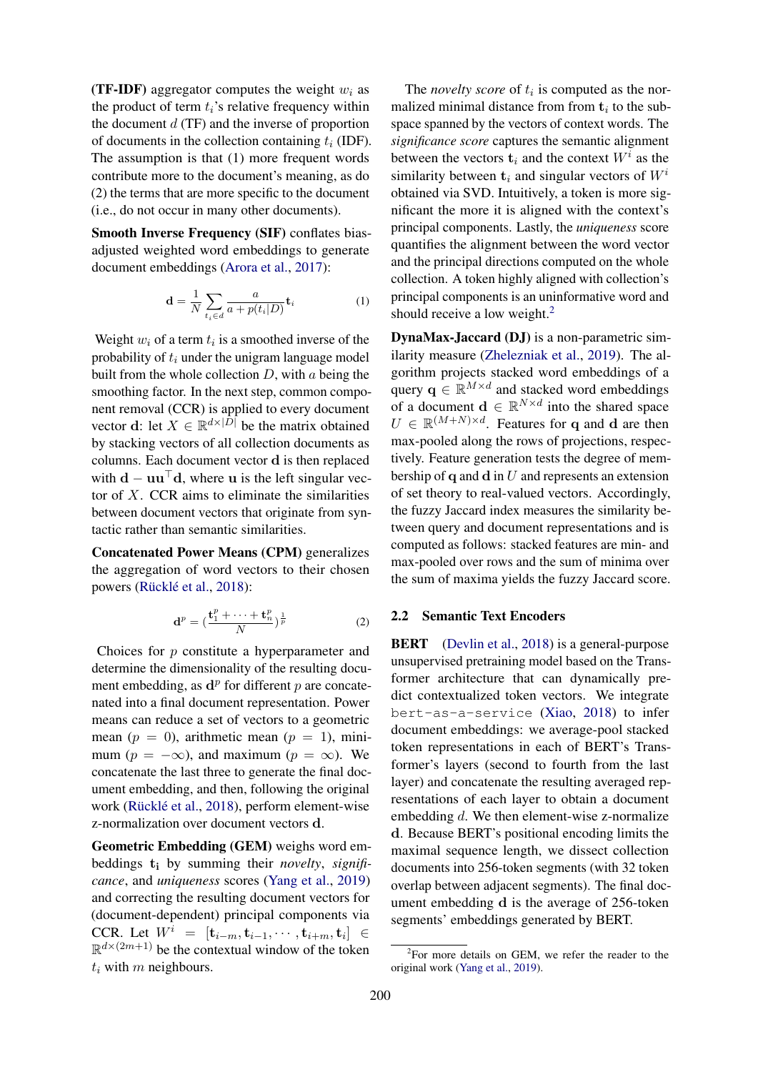(TF-IDF) aggregator computes the weight  $w_i$  as the product of term  $t_i$ 's relative frequency within the document  $d$  (TF) and the inverse of proportion of documents in the collection containing  $t_i$  (IDF). The assumption is that (1) more frequent words contribute more to the document's meaning, as do (2) the terms that are more specific to the document (i.e., do not occur in many other documents).

Smooth Inverse Frequency (SIF) conflates biasadjusted weighted word embeddings to generate document embeddings [\(Arora et al.,](#page-5-9) [2017\)](#page-5-9):

$$
\mathbf{d} = \frac{1}{N} \sum_{t_i \in d} \frac{a}{a + p(t_i|D)} \mathbf{t}_i \tag{1}
$$

Weight  $w_i$  of a term  $t_i$  is a smoothed inverse of the probability of  $t_i$  under the unigram language model built from the whole collection  $D$ , with a being the smoothing factor. In the next step, common component removal (CCR) is applied to every document vector **d**: let  $X \in \mathbb{R}^{d \times |D|}$  be the matrix obtained by stacking vectors of all collection documents as columns. Each document vector d is then replaced with  $\mathbf{d} - \mathbf{u}\mathbf{u}^{\top} \mathbf{d}$ , where u is the left singular vector of  $X$ . CCR aims to eliminate the similarities between document vectors that originate from syntactic rather than semantic similarities.

Concatenated Power Means (CPM) generalizes the aggregation of word vectors to their chosen powers (Rücklé et al., [2018\)](#page-5-10):

$$
\mathbf{d}^p = \left(\frac{\mathbf{t}_1^p + \dots + \mathbf{t}_n^p}{N}\right)^{\frac{1}{p}} \tag{2}
$$

Choices for p constitute a hyperparameter and determine the dimensionality of the resulting document embedding, as  $\mathbf{d}^p$  for different p are concatenated into a final document representation. Power means can reduce a set of vectors to a geometric mean ( $p = 0$ ), arithmetic mean ( $p = 1$ ), minimum ( $p = -\infty$ ), and maximum ( $p = \infty$ ). We concatenate the last three to generate the final document embedding, and then, following the original work (Rücklé et al., [2018\)](#page-5-10), perform element-wise z-normalization over document vectors d.

Geometric Embedding (GEM) weighs word embeddings t<sup>i</sup> by summing their *novelty*, *significance*, and *uniqueness* scores [\(Yang et al.,](#page-5-11) [2019\)](#page-5-11) and correcting the resulting document vectors for (document-dependent) principal components via CCR. Let  $W^i = [\mathbf{t}_{i-m}, \mathbf{t}_{i-1}, \cdots, \mathbf{t}_{i+m}, \mathbf{t}_i]$  ∈  $\mathbb{R}^{d \times (2m+1)}$  be the contextual window of the token  $t_i$  with m neighbours.

The *novelty score* of  $t_i$  is computed as the normalized minimal distance from from  $t_i$  to the subspace spanned by the vectors of context words. The *significance score* captures the semantic alignment between the vectors  $\mathbf{t}_i$  and the context  $W^i$  as the similarity between  $t_i$  and singular vectors of  $W^i$ obtained via SVD. Intuitively, a token is more significant the more it is aligned with the context's principal components. Lastly, the *uniqueness* score quantifies the alignment between the word vector and the principal directions computed on the whole collection. A token highly aligned with collection's principal components is an uninformative word and should receive a low weight.<sup>[2](#page-1-0)</sup>

DynaMax-Jaccard (DJ) is a non-parametric similarity measure [\(Zhelezniak et al.,](#page-5-12) [2019\)](#page-5-12). The algorithm projects stacked word embeddings of a query  $\mathbf{q} \in \mathbb{R}^{M \times d}$  and stacked word embeddings of a document  $\mathbf{d} \in \mathbb{R}^{N \times d}$  into the shared space  $U \in \mathbb{R}^{(M+N) \times d}$ . Features for q and d are then max-pooled along the rows of projections, respectively. Feature generation tests the degree of membership of  $q$  and  $d$  in  $U$  and represents an extension of set theory to real-valued vectors. Accordingly, the fuzzy Jaccard index measures the similarity between query and document representations and is computed as follows: stacked features are min- and max-pooled over rows and the sum of minima over the sum of maxima yields the fuzzy Jaccard score.

## 2.2 Semantic Text Encoders

BERT [\(Devlin et al.,](#page-5-8) [2018\)](#page-5-8) is a general-purpose unsupervised pretraining model based on the Transformer architecture that can dynamically predict contextualized token vectors. We integrate bert-as-a-service [\(Xiao,](#page-5-15) [2018\)](#page-5-15) to infer document embeddings: we average-pool stacked token representations in each of BERT's Transformer's layers (second to fourth from the last layer) and concatenate the resulting averaged representations of each layer to obtain a document embedding d. We then element-wise z-normalize d. Because BERT's positional encoding limits the maximal sequence length, we dissect collection documents into 256-token segments (with 32 token overlap between adjacent segments). The final document embedding d is the average of 256-token segments' embeddings generated by BERT.

<span id="page-1-0"></span><sup>2</sup> For more details on GEM, we refer the reader to the original work [\(Yang et al.,](#page-5-11) [2019\)](#page-5-11).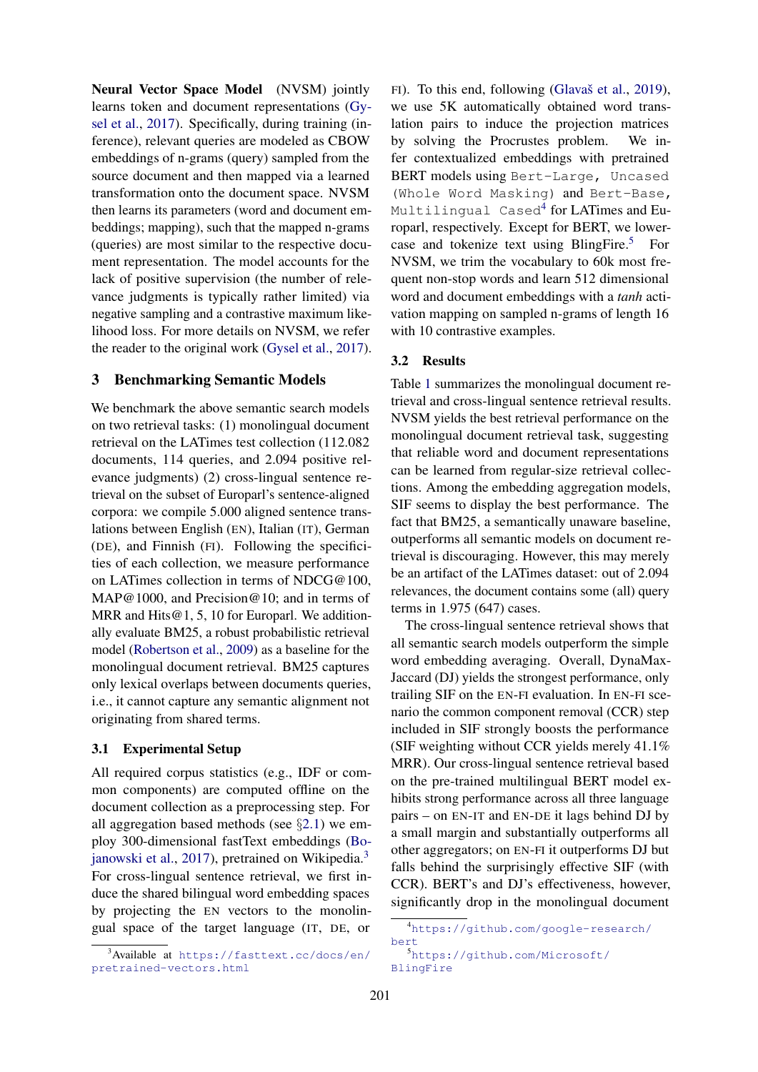Neural Vector Space Model (NVSM) jointly learns token and document representations [\(Gy](#page-5-13)[sel et al.,](#page-5-13) [2017\)](#page-5-13). Specifically, during training (inference), relevant queries are modeled as CBOW embeddings of n-grams (query) sampled from the source document and then mapped via a learned transformation onto the document space. NVSM then learns its parameters (word and document embeddings; mapping), such that the mapped n-grams (queries) are most similar to the respective document representation. The model accounts for the lack of positive supervision (the number of relevance judgments is typically rather limited) via negative sampling and a contrastive maximum likelihood loss. For more details on NVSM, we refer the reader to the original work [\(Gysel et al.,](#page-5-13) [2017\)](#page-5-13).

## 3 Benchmarking Semantic Models

We benchmark the above semantic search models on two retrieval tasks: (1) monolingual document retrieval on the LATimes test collection (112.082 documents, 114 queries, and 2.094 positive relevance judgments) (2) cross-lingual sentence retrieval on the subset of Europarl's sentence-aligned corpora: we compile 5.000 aligned sentence translations between English (EN), Italian (IT), German (DE), and Finnish (FI). Following the specificities of each collection, we measure performance on LATimes collection in terms of NDCG@100, MAP@1000, and Precision@10; and in terms of MRR and Hits@1, 5, 10 for Europarl. We additionally evaluate BM25, a robust probabilistic retrieval model [\(Robertson et al.,](#page-5-16) [2009\)](#page-5-16) as a baseline for the monolingual document retrieval. BM25 captures only lexical overlaps between documents queries, i.e., it cannot capture any semantic alignment not originating from shared terms.

#### 3.1 Experimental Setup

All required corpus statistics (e.g., IDF or common components) are computed offline on the document collection as a preprocessing step. For all aggregation based methods (see §[2.1\)](#page-0-1) we employ 300-dimensional fastText embeddings [\(Bo](#page-5-7)[janowski et al.,](#page-5-7) [2017\)](#page-5-7), pretrained on Wikipedia.[3](#page-2-0) For cross-lingual sentence retrieval, we first induce the shared bilingual word embedding spaces by projecting the EN vectors to the monolingual space of the target language (IT, DE, or

FI). To this end, following (Glavaš et al.,  $2019$ ), we use 5K automatically obtained word translation pairs to induce the projection matrices by solving the Procrustes problem. We infer contextualized embeddings with pretrained BERT models using Bert-Large, Uncased (Whole Word Masking) and Bert-Base, Multilingual Cased[4](#page-2-1) for LATimes and Europarl, respectively. Except for BERT, we lowercase and tokenize text using BlingFire.[5](#page-2-2) For NVSM, we trim the vocabulary to 60k most frequent non-stop words and learn 512 dimensional word and document embeddings with a *tanh* activation mapping on sampled n-grams of length 16 with 10 contrastive examples.

#### 3.2 Results

Table [1](#page-3-0) summarizes the monolingual document retrieval and cross-lingual sentence retrieval results. NVSM yields the best retrieval performance on the monolingual document retrieval task, suggesting that reliable word and document representations can be learned from regular-size retrieval collections. Among the embedding aggregation models, SIF seems to display the best performance. The fact that BM25, a semantically unaware baseline, outperforms all semantic models on document retrieval is discouraging. However, this may merely be an artifact of the LATimes dataset: out of 2.094 relevances, the document contains some (all) query terms in 1.975 (647) cases.

The cross-lingual sentence retrieval shows that all semantic search models outperform the simple word embedding averaging. Overall, DynaMax-Jaccard (DJ) yields the strongest performance, only trailing SIF on the EN-FI evaluation. In EN-FI scenario the common component removal (CCR) step included in SIF strongly boosts the performance (SIF weighting without CCR yields merely 41.1% MRR). Our cross-lingual sentence retrieval based on the pre-trained multilingual BERT model exhibits strong performance across all three language pairs – on EN-IT and EN-DE it lags behind DJ by a small margin and substantially outperforms all other aggregators; on EN-FI it outperforms DJ but falls behind the surprisingly effective SIF (with CCR). BERT's and DJ's effectiveness, however, significantly drop in the monolingual document

<span id="page-2-0"></span><sup>3</sup>Available at [https://fasttext.cc/docs/en/](https://fasttext.cc/docs/en/pretrained-vectors.html) [pretrained-vectors.html](https://fasttext.cc/docs/en/pretrained-vectors.html)

<span id="page-2-1"></span><sup>4</sup>[https://github.com/google-research/](https://github.com/google-research/bert) [bert](https://github.com/google-research/bert)

<span id="page-2-2"></span><sup>5</sup>[https://github.com/Microsoft/](https://github.com/Microsoft/BlingFire) [BlingFire](https://github.com/Microsoft/BlingFire)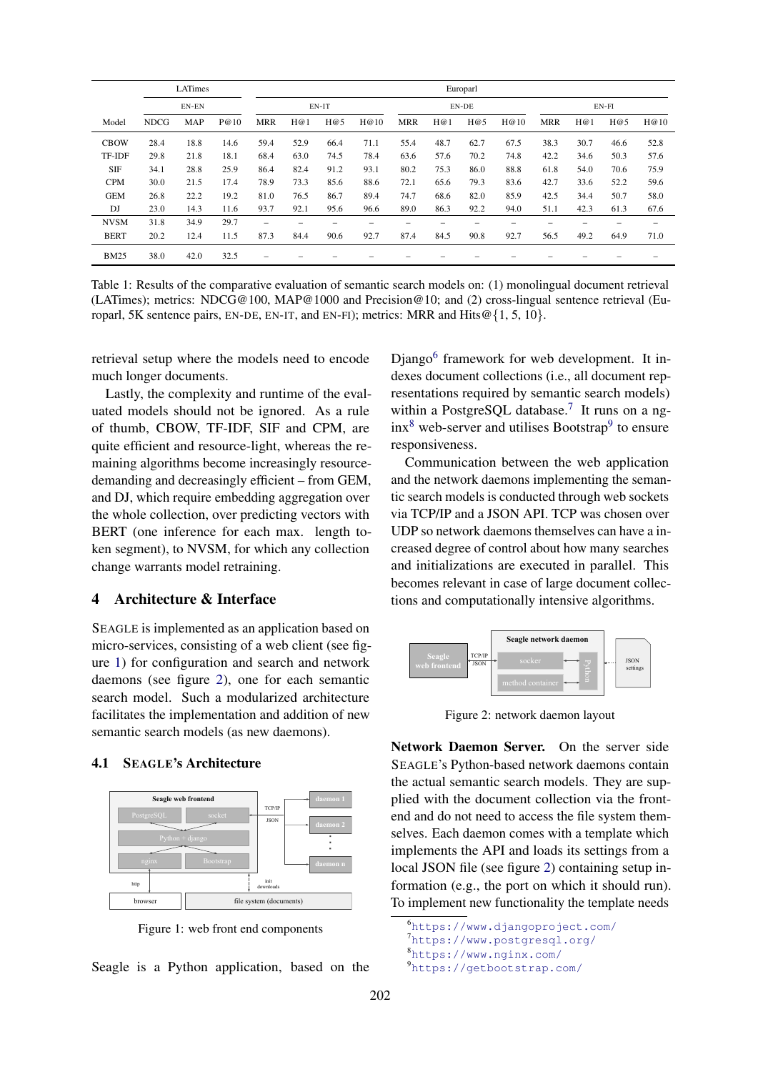<span id="page-3-0"></span>

|             |             | LATimes    |      | Europarl                 |       |      |      |            |      |      |      |            |      |      |      |
|-------------|-------------|------------|------|--------------------------|-------|------|------|------------|------|------|------|------------|------|------|------|
| EN-EN       |             | EN-IT      |      |                          | EN-DE |      |      | $EN-FI$    |      |      |      |            |      |      |      |
| Model       | <b>NDCG</b> | <b>MAP</b> | P@10 | <b>MRR</b>               | H@1   | H@5  | H@10 | <b>MRR</b> | H@1  | H@5  | H@10 | <b>MRR</b> | H@1  | H@5  | H@10 |
| <b>CBOW</b> | 28.4        | 18.8       | 14.6 | 59.4                     | 52.9  | 66.4 | 71.1 | 55.4       | 48.7 | 62.7 | 67.5 | 38.3       | 30.7 | 46.6 | 52.8 |
| TF-IDF      | 29.8        | 21.8       | 18.1 | 68.4                     | 63.0  | 74.5 | 78.4 | 63.6       | 57.6 | 70.2 | 74.8 | 42.2       | 34.6 | 50.3 | 57.6 |
| <b>SIF</b>  | 34.1        | 28.8       | 25.9 | 86.4                     | 82.4  | 91.2 | 93.1 | 80.2       | 75.3 | 86.0 | 88.8 | 61.8       | 54.0 | 70.6 | 75.9 |
| <b>CPM</b>  | 30.0        | 21.5       | 17.4 | 78.9                     | 73.3  | 85.6 | 88.6 | 72.1       | 65.6 | 79.3 | 83.6 | 42.7       | 33.6 | 52.2 | 59.6 |
| <b>GEM</b>  | 26.8        | 22.2       | 19.2 | 81.0                     | 76.5  | 86.7 | 89.4 | 74.7       | 68.6 | 82.0 | 85.9 | 42.5       | 34.4 | 50.7 | 58.0 |
| DJ          | 23.0        | 14.3       | 11.6 | 93.7                     | 92.1  | 95.6 | 96.6 | 89.0       | 86.3 | 92.2 | 94.0 | 51.1       | 42.3 | 61.3 | 67.6 |
| <b>NVSM</b> | 31.8        | 34.9       | 29.7 | $\overline{\phantom{0}}$ |       |      |      |            |      |      |      |            |      |      | -    |
| <b>BERT</b> | 20.2        | 12.4       | 11.5 | 87.3                     | 84.4  | 90.6 | 92.7 | 87.4       | 84.5 | 90.8 | 92.7 | 56.5       | 49.2 | 64.9 | 71.0 |
| <b>BM25</b> | 38.0        | 42.0       | 32.5 |                          |       |      |      |            |      |      |      |            |      |      |      |

Table 1: Results of the comparative evaluation of semantic search models on: (1) monolingual document retrieval (LATimes); metrics: NDCG@100, MAP@1000 and Precision@10; and (2) cross-lingual sentence retrieval (Europarl, 5K sentence pairs, EN-DE, EN-IT, and EN-FI); metrics: MRR and Hits@ $\{1, 5, 10\}$ .

retrieval setup where the models need to encode much longer documents.

Lastly, the complexity and runtime of the evaluated models should not be ignored. As a rule of thumb, CBOW, TF-IDF, SIF and CPM, are quite efficient and resource-light, whereas the remaining algorithms become increasingly resourcedemanding and decreasingly efficient – from GEM, and DJ, which require embedding aggregation over the whole collection, over predicting vectors with BERT (one inference for each max. length token segment), to NVSM, for which any collection change warrants model retraining.

#### 4 Architecture & Interface

SEAGLE is implemented as an application based on micro-services, consisting of a web client (see figure [1\)](#page-3-1) for configuration and search and network daemons (see figure [2\)](#page-3-2), one for each semantic search model. Such a modularized architecture facilitates the implementation and addition of new semantic search models (as new daemons).

#### 4.1 SEAGLE's Architecture

<span id="page-3-1"></span>

Figure 1: web front end components

Seagle is a Python application, based on the

Django<sup>[6](#page-3-3)</sup> framework for web development. It indexes document collections (i.e., all document representations required by semantic search models) within a PostgreSQL database.<sup>[7](#page-3-4)</sup> It runs on a ng- $inx<sup>8</sup>$  $inx<sup>8</sup>$  $inx<sup>8</sup>$  web-server and utilises Bootstrap<sup>[9](#page-3-6)</sup> to ensure responsiveness.

Communication between the web application and the network daemons implementing the semantic search models is conducted through web sockets via TCP/IP and a JSON API. TCP was chosen over UDP so network daemons themselves can have a increased degree of control about how many searches and initializations are executed in parallel. This becomes relevant in case of large document collections and computationally intensive algorithms.

<span id="page-3-2"></span>

Figure 2: network daemon layout

Network Daemon Server. On the server side SEAGLE's Python-based network daemons contain the actual semantic search models. They are supplied with the document collection via the frontend and do not need to access the file system themselves. Each daemon comes with a template which implements the API and loads its settings from a local JSON file (see figure [2\)](#page-3-2) containing setup information (e.g., the port on which it should run). To implement new functionality the template needs

<span id="page-3-6"></span><span id="page-3-5"></span><span id="page-3-4"></span><span id="page-3-3"></span><https://www.djangoproject.com/> <https://www.postgresql.org/> <https://www.nginx.com/> <https://getbootstrap.com/>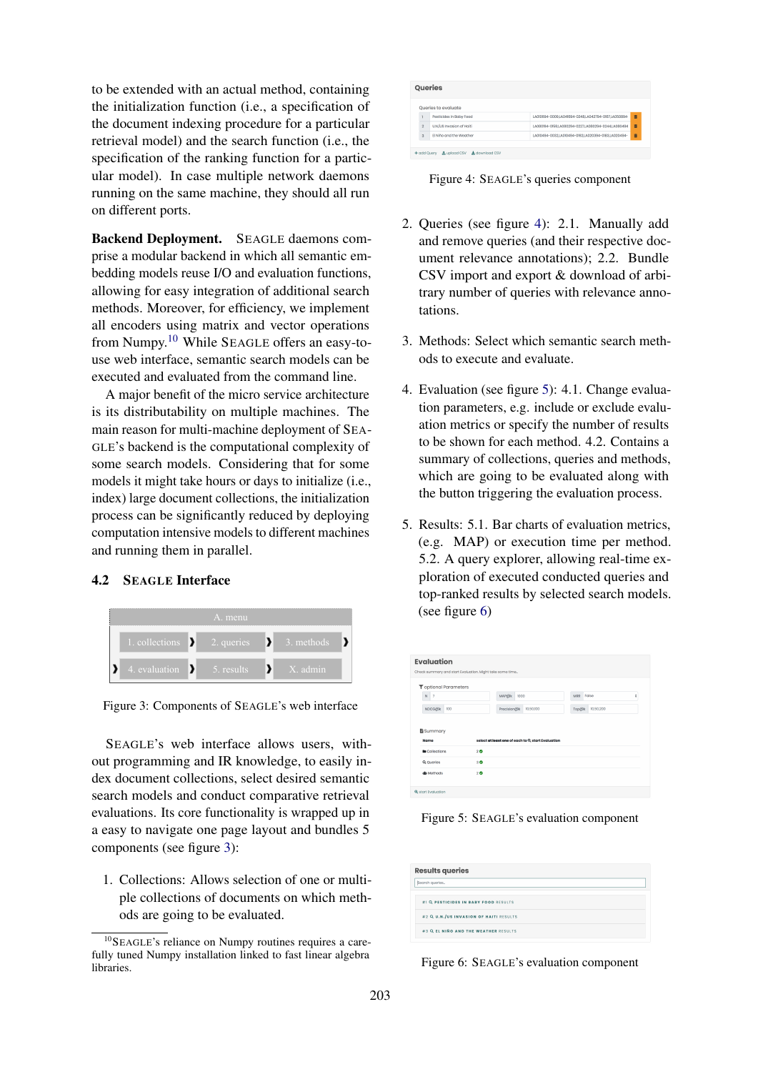to be extended with an actual method, containing the initialization function (i.e., a specification of the document indexing procedure for a particular retrieval model) and the search function (i.e., the specification of the ranking function for a particular model). In case multiple network daemons running on the same machine, they should all run on different ports.

Backend Deployment. SEAGLE daemons comprise a modular backend in which all semantic embedding models reuse I/O and evaluation functions, allowing for easy integration of additional search methods. Moreover, for efficiency, we implement all encoders using matrix and vector operations from Numpy.[10](#page-4-0) While SEAGLE offers an easy-touse web interface, semantic search models can be executed and evaluated from the command line.

A major benefit of the micro service architecture is its distributability on multiple machines. The main reason for multi-machine deployment of SEA-GLE's backend is the computational complexity of some search models. Considering that for some models it might take hours or days to initialize (i.e., index) large document collections, the initialization process can be significantly reduced by deploying computation intensive models to different machines and running them in parallel.

#### 4.2 SEAGLE Interface

<span id="page-4-1"></span>

Figure 3: Components of SEAGLE's web interface

SEAGLE's web interface allows users, without programming and IR knowledge, to easily index document collections, select desired semantic search models and conduct comparative retrieval evaluations. Its core functionality is wrapped up in a easy to navigate one page layout and bundles 5 components (see figure [3\)](#page-4-1):

1. Collections: Allows selection of one or multiple collections of documents on which methods are going to be evaluated.

<span id="page-4-2"></span>

|                | Queries                                |                                                     |   |  |
|----------------|----------------------------------------|-----------------------------------------------------|---|--|
|                | Queries to evaluate                    |                                                     |   |  |
|                | Pesticides in Baby Food                | LA010694-0009.LA041694-0248.LA042794-0167.LA050894- | Ē |  |
| $\mathfrak{D}$ | U.N./US Invasion of Haiti              | LA0B0194-0159LA080294-0227.LA080294-0244.LA080494   | 青 |  |
| $\alpha$       | El Niño and the Weather                | LA010494-00321A010494-01921A020394-01831A020494-    | ū |  |
|                |                                        |                                                     |   |  |
| + add Query    | <b>1</b> upload CSV<br>Le download CSV |                                                     |   |  |
|                |                                        |                                                     |   |  |

Figure 4: SEAGLE's queries component

- 2. Queries (see figure [4\)](#page-4-2): 2.1. Manually add and remove queries (and their respective document relevance annotations); 2.2. Bundle CSV import and export & download of arbitrary number of queries with relevance annotations.
- 3. Methods: Select which semantic search methods to execute and evaluate.
- 4. Evaluation (see figure [5\)](#page-4-3): 4.1. Change evaluation parameters, e.g. include or exclude evaluation metrics or specify the number of results to be shown for each method. 4.2. Contains a summary of collections, queries and methods, which are going to be evaluated along with the button triggering the evaluation process.
- 5. Results: 5.1. Bar charts of evaluation metrics, (e.g. MAP) or execution time per method. 5.2. A query explorer, allowing real-time exploration of executed conducted queries and top-ranked results by selected search models. (see figure [6\)](#page-4-4)

<span id="page-4-3"></span>

| <b>Evaluation</b>                |                                                          |                    |  |  |  |  |  |  |  |  |
|----------------------------------|----------------------------------------------------------|--------------------|--|--|--|--|--|--|--|--|
|                                  |                                                          |                    |  |  |  |  |  |  |  |  |
|                                  | Check summary and start Evaluation. Might take some time |                    |  |  |  |  |  |  |  |  |
| Toptional Parameters             |                                                          |                    |  |  |  |  |  |  |  |  |
| $\overline{7}$<br>$\overline{N}$ | MAP@k<br>1000                                            | False<br>¢<br>MRR  |  |  |  |  |  |  |  |  |
| NDCG@k<br>100                    | 10,50,100<br>Procision@k                                 | 10,50,200<br>Top@k |  |  |  |  |  |  |  |  |
|                                  |                                                          |                    |  |  |  |  |  |  |  |  |
| Summary                          |                                                          |                    |  |  |  |  |  |  |  |  |
| Name                             | select at least one of each to @ start Evaluation        |                    |  |  |  |  |  |  |  |  |
| <b>Bu</b> Collections            | 20                                                       |                    |  |  |  |  |  |  |  |  |
| Q Queries                        | 30                                                       |                    |  |  |  |  |  |  |  |  |
| da Mathods                       | 20                                                       |                    |  |  |  |  |  |  |  |  |
|                                  |                                                          |                    |  |  |  |  |  |  |  |  |
|                                  |                                                          |                    |  |  |  |  |  |  |  |  |
| <b>Q</b> start Evaluation        |                                                          |                    |  |  |  |  |  |  |  |  |

Figure 5: SEAGLE's evaluation component

<span id="page-4-4"></span>

| <b>Results queries</b>                 |  |  |  |  |
|----------------------------------------|--|--|--|--|
| Segreb queries.                        |  |  |  |  |
| #1 Q PESTICIDES IN BABY FOOD RESULTS   |  |  |  |  |
| #2 Q U.N./US INVASION OF HAITI RESULTS |  |  |  |  |
| #3 Q EL NIÑO AND THE WEATHER RESULTS   |  |  |  |  |

Figure 6: SEAGLE's evaluation component

<span id="page-4-0"></span><sup>10</sup>SEAGLE's reliance on Numpy routines requires a carefully tuned Numpy installation linked to fast linear algebra libraries.